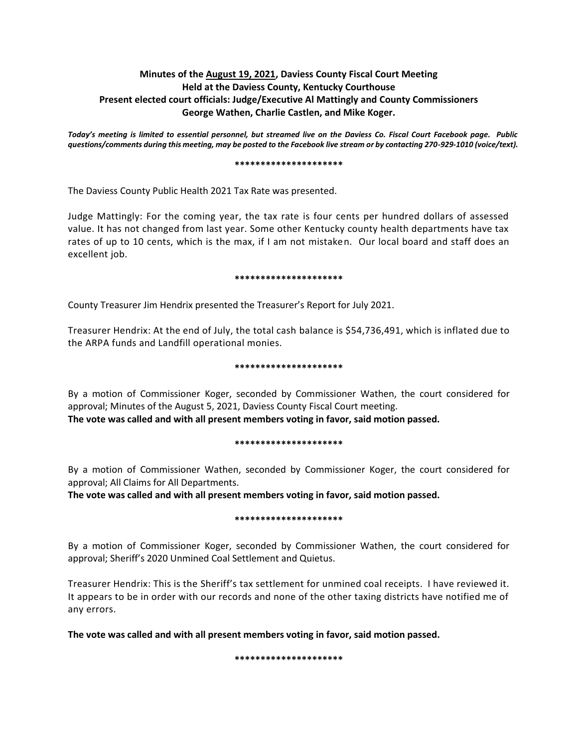## **Minutes of the August 19, 2021, Daviess County Fiscal Court Meeting Held at the Daviess County, Kentucky Courthouse Present elected court officials: Judge/Executive Al Mattingly and County Commissioners George Wathen, Charlie Castlen, and Mike Koger.**

*Today's meeting is limited to essential personnel, but streamed live on the Daviess Co. Fiscal Court Facebook page. Public questions/comments during this meeting, may be posted to the Facebook live stream or by contacting 270-929-1010 (voice/text).*

#### **\*\*\*\*\*\*\*\*\*\*\*\*\*\*\*\*\*\*\*\*\***

The Daviess County Public Health 2021 Tax Rate was presented.

Judge Mattingly: For the coming year, the tax rate is four cents per hundred dollars of assessed value. It has not changed from last year. Some other Kentucky county health departments have tax rates of up to 10 cents, which is the max, if I am not mistaken. Our local board and staff does an excellent job.

### **\*\*\*\*\*\*\*\*\*\*\*\*\*\*\*\*\*\*\*\*\***

County Treasurer Jim Hendrix presented the Treasurer's Report for July 2021.

Treasurer Hendrix: At the end of July, the total cash balance is \$54,736,491, which is inflated due to the ARPA funds and Landfill operational monies.

### **\*\*\*\*\*\*\*\*\*\*\*\*\*\*\*\*\*\*\*\*\***

By a motion of Commissioner Koger, seconded by Commissioner Wathen, the court considered for approval; Minutes of the August 5, 2021, Daviess County Fiscal Court meeting. **The vote was called and with all present members voting in favor, said motion passed.** 

#### **\*\*\*\*\*\*\*\*\*\*\*\*\*\*\*\*\*\*\*\*\***

By a motion of Commissioner Wathen, seconded by Commissioner Koger, the court considered for approval; All Claims for All Departments.

**The vote was called and with all present members voting in favor, said motion passed.** 

### **\*\*\*\*\*\*\*\*\*\*\*\*\*\*\*\*\*\*\*\*\***

By a motion of Commissioner Koger, seconded by Commissioner Wathen, the court considered for approval; Sheriff's 2020 Unmined Coal Settlement and Quietus.

Treasurer Hendrix: This is the Sheriff's tax settlement for unmined coal receipts. I have reviewed it. It appears to be in order with our records and none of the other taxing districts have notified me of any errors.

**The vote was called and with all present members voting in favor, said motion passed.**

**\*\*\*\*\*\*\*\*\*\*\*\*\*\*\*\*\*\*\*\*\***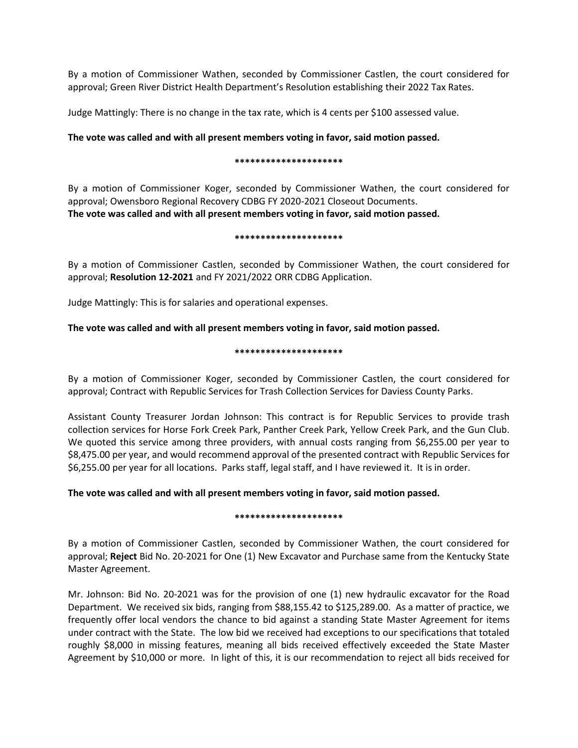By a motion of Commissioner Wathen, seconded by Commissioner Castlen, the court considered for approval; Green River District Health Department's Resolution establishing their 2022 Tax Rates.

Judge Mattingly: There is no change in the tax rate, which is 4 cents per \$100 assessed value.

## **The vote was called and with all present members voting in favor, said motion passed.**

### **\*\*\*\*\*\*\*\*\*\*\*\*\*\*\*\*\*\*\*\*\***

By a motion of Commissioner Koger, seconded by Commissioner Wathen, the court considered for approval; Owensboro Regional Recovery CDBG FY 2020-2021 Closeout Documents. **The vote was called and with all present members voting in favor, said motion passed.**

### **\*\*\*\*\*\*\*\*\*\*\*\*\*\*\*\*\*\*\*\*\***

By a motion of Commissioner Castlen, seconded by Commissioner Wathen, the court considered for approval; **Resolution 12-2021** and FY 2021/2022 ORR CDBG Application.

Judge Mattingly: This is for salaries and operational expenses.

## **The vote was called and with all present members voting in favor, said motion passed.**

### **\*\*\*\*\*\*\*\*\*\*\*\*\*\*\*\*\*\*\*\*\***

By a motion of Commissioner Koger, seconded by Commissioner Castlen, the court considered for approval; Contract with Republic Services for Trash Collection Services for Daviess County Parks.

Assistant County Treasurer Jordan Johnson: This contract is for Republic Services to provide trash collection services for Horse Fork Creek Park, Panther Creek Park, Yellow Creek Park, and the Gun Club. We quoted this service among three providers, with annual costs ranging from \$6,255.00 per year to \$8,475.00 per year, and would recommend approval of the presented contract with Republic Services for \$6,255.00 per year for all locations. Parks staff, legal staff, and I have reviewed it. It is in order.

### **The vote was called and with all present members voting in favor, said motion passed.**

#### **\*\*\*\*\*\*\*\*\*\*\*\*\*\*\*\*\*\*\*\*\***

By a motion of Commissioner Castlen, seconded by Commissioner Wathen, the court considered for approval; **Reject** Bid No. 20-2021 for One (1) New Excavator and Purchase same from the Kentucky State Master Agreement.

Mr. Johnson: Bid No. 20-2021 was for the provision of one (1) new hydraulic excavator for the Road Department. We received six bids, ranging from \$88,155.42 to \$125,289.00. As a matter of practice, we frequently offer local vendors the chance to bid against a standing State Master Agreement for items under contract with the State. The low bid we received had exceptions to our specifications that totaled roughly \$8,000 in missing features, meaning all bids received effectively exceeded the State Master Agreement by \$10,000 or more. In light of this, it is our recommendation to reject all bids received for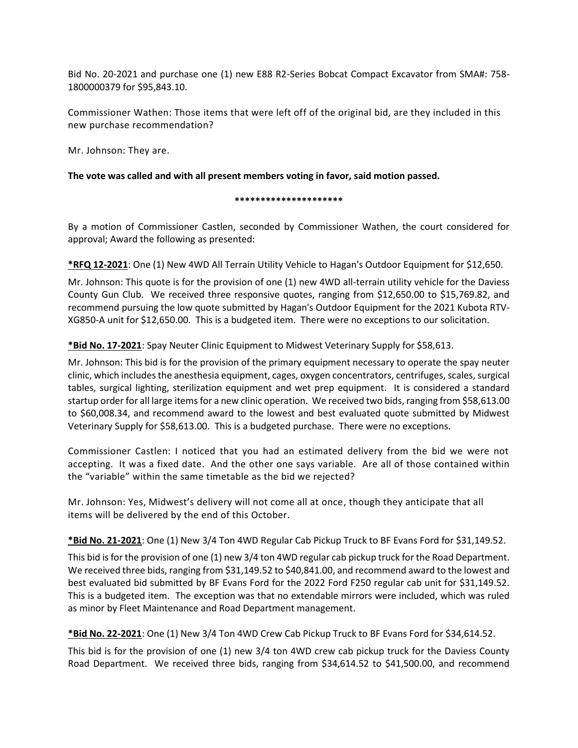Bid No. 20-2021 and purchase one (1) new E88 R2-Series Bobcat Compact Excavator from SMA#: 758- 1800000379 for \$95,843.10.

Commissioner Wathen: Those items that were left off of the original bid, are they included in this new purchase recommendation?

Mr. Johnson: They are.

**The vote was called and with all present members voting in favor, said motion passed.**

**\*\*\*\*\*\*\*\*\*\*\*\*\*\*\*\*\*\*\*\*\***

By a motion of Commissioner Castlen, seconded by Commissioner Wathen, the court considered for approval; Award the following as presented:

**\*RFQ 12-2021**: One (1) New 4WD All Terrain Utility Vehicle to Hagan's Outdoor Equipment for \$12,650.

Mr. Johnson: This quote is for the provision of one (1) new 4WD all-terrain utility vehicle for the Daviess County Gun Club. We received three responsive quotes, ranging from \$12,650.00 to \$15,769.82, and recommend pursuing the low quote submitted by Hagan's Outdoor Equipment for the 2021 Kubota RTV-XG850-A unit for \$12,650.00. This is a budgeted item. There were no exceptions to our solicitation.

## **\*Bid No. 17-2021**: Spay Neuter Clinic Equipment to Midwest Veterinary Supply for \$58,613.

Mr. Johnson: This bid is for the provision of the primary equipment necessary to operate the spay neuter clinic, which includes the anesthesia equipment, cages, oxygen concentrators, centrifuges, scales, surgical tables, surgical lighting, sterilization equipment and wet prep equipment. It is considered a standard startup order for all large items for a new clinic operation. We received two bids, ranging from \$58,613.00 to \$60,008.34, and recommend award to the lowest and best evaluated quote submitted by Midwest Veterinary Supply for \$58,613.00. This is a budgeted purchase. There were no exceptions.

Commissioner Castlen: I noticed that you had an estimated delivery from the bid we were not accepting. It was a fixed date. And the other one says variable. Are all of those contained within the "variable" within the same timetable as the bid we rejected?

Mr. Johnson: Yes, Midwest's delivery will not come all at once, though they anticipate that all items will be delivered by the end of this October.

**\*Bid No. 21-2021**: One (1) New 3/4 Ton 4WD Regular Cab Pickup Truck to BF Evans Ford for \$31,149.52.

This bid is for the provision of one (1) new 3/4 ton 4WD regular cab pickup truck for the Road Department. We received three bids, ranging from \$31,149.52 to \$40,841.00, and recommend award to the lowest and best evaluated bid submitted by BF Evans Ford for the 2022 Ford F250 regular cab unit for \$31,149.52. This is a budgeted item. The exception was that no extendable mirrors were included, which was ruled as minor by Fleet Maintenance and Road Department management.

**\*Bid No. 22-2021**: One (1) New 3/4 Ton 4WD Crew Cab Pickup Truck to BF Evans Ford for \$34,614.52.

This bid is for the provision of one (1) new 3/4 ton 4WD crew cab pickup truck for the Daviess County Road Department. We received three bids, ranging from \$34,614.52 to \$41,500.00, and recommend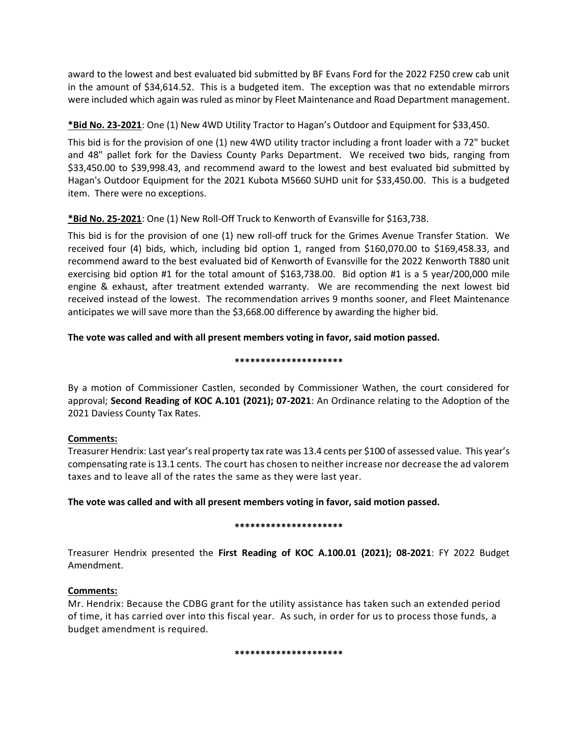award to the lowest and best evaluated bid submitted by BF Evans Ford for the 2022 F250 crew cab unit in the amount of \$34,614.52. This is a budgeted item. The exception was that no extendable mirrors were included which again was ruled as minor by Fleet Maintenance and Road Department management.

# **\*Bid No. 23-2021**: One (1) New 4WD Utility Tractor to Hagan's Outdoor and Equipment for \$33,450.

This bid is for the provision of one (1) new 4WD utility tractor including a front loader with a 72" bucket and 48" pallet fork for the Daviess County Parks Department. We received two bids, ranging from \$33,450.00 to \$39,998.43, and recommend award to the lowest and best evaluated bid submitted by Hagan's Outdoor Equipment for the 2021 Kubota M5660 SUHD unit for \$33,450.00. This is a budgeted item. There were no exceptions.

# **\*Bid No. 25-2021**: One (1) New Roll-Off Truck to Kenworth of Evansville for \$163,738.

This bid is for the provision of one (1) new roll-off truck for the Grimes Avenue Transfer Station. We received four (4) bids, which, including bid option 1, ranged from \$160,070.00 to \$169,458.33, and recommend award to the best evaluated bid of Kenworth of Evansville for the 2022 Kenworth T880 unit exercising bid option #1 for the total amount of \$163,738.00. Bid option #1 is a 5 year/200,000 mile engine & exhaust, after treatment extended warranty. We are recommending the next lowest bid received instead of the lowest. The recommendation arrives 9 months sooner, and Fleet Maintenance anticipates we will save more than the \$3,668.00 difference by awarding the higher bid.

# **The vote was called and with all present members voting in favor, said motion passed.**

## **\*\*\*\*\*\*\*\*\*\*\*\*\*\*\*\*\*\*\*\*\***

By a motion of Commissioner Castlen, seconded by Commissioner Wathen, the court considered for approval; **Second Reading of KOC A.101 (2021); 07-2021**: An Ordinance relating to the Adoption of the 2021 Daviess County Tax Rates.

# **Comments:**

Treasurer Hendrix: Last year's real property tax rate was 13.4 cents per \$100 of assessed value. This year's compensating rate is 13.1 cents. The court has chosen to neither increase nor decrease the ad valorem taxes and to leave all of the rates the same as they were last year.

# **The vote was called and with all present members voting in favor, said motion passed.**

## **\*\*\*\*\*\*\*\*\*\*\*\*\*\*\*\*\*\*\*\*\***

Treasurer Hendrix presented the **First Reading of KOC A.100.01 (2021); 08-2021**: FY 2022 Budget Amendment.

# **Comments:**

Mr. Hendrix: Because the CDBG grant for the utility assistance has taken such an extended period of time, it has carried over into this fiscal year. As such, in order for us to process those funds, a budget amendment is required.

**\*\*\*\*\*\*\*\*\*\*\*\*\*\*\*\*\*\*\*\*\***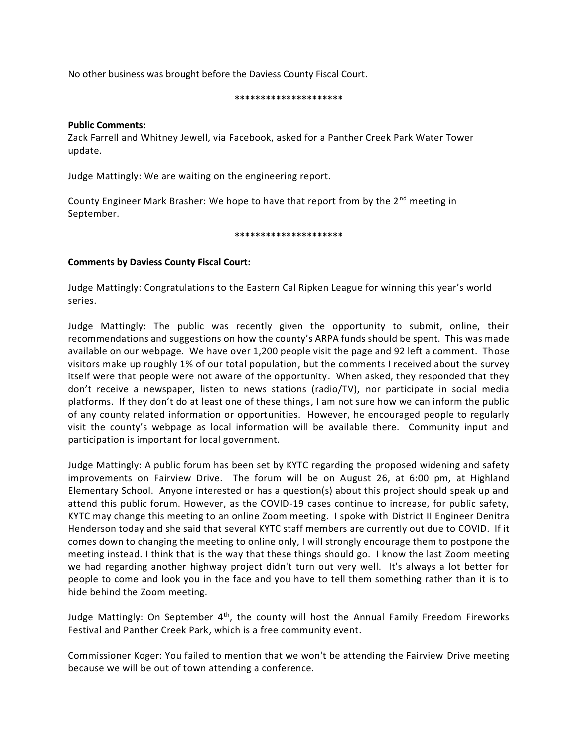No other business was brought before the Daviess County Fiscal Court.

#### **\*\*\*\*\*\*\*\*\*\*\*\*\*\*\*\*\*\*\*\*\***

### **Public Comments:**

Zack Farrell and Whitney Jewell, via Facebook, asked for a Panther Creek Park Water Tower update.

Judge Mattingly: We are waiting on the engineering report.

County Engineer Mark Brasher: We hope to have that report from by the 2<sup>nd</sup> meeting in September.

#### **\*\*\*\*\*\*\*\*\*\*\*\*\*\*\*\*\*\*\*\*\***

## **Comments by Daviess County Fiscal Court:**

Judge Mattingly: Congratulations to the Eastern Cal Ripken League for winning this year's world series.

Judge Mattingly: The public was recently given the opportunity to submit, online, their recommendations and suggestions on how the county's ARPA funds should be spent. This was made available on our webpage. We have over 1,200 people visit the page and 92 left a comment. Those visitors make up roughly 1% of our total population, but the comments I received about the survey itself were that people were not aware of the opportunity. When asked, they responded that they don't receive a newspaper, listen to news stations (radio/TV), nor participate in social media platforms. If they don't do at least one of these things, I am not sure how we can inform the public of any county related information or opportunities. However, he encouraged people to regularly visit the county's webpage as local information will be available there. Community input and participation is important for local government.

Judge Mattingly: A public forum has been set by KYTC regarding the proposed widening and safety improvements on Fairview Drive. The forum will be on August 26, at 6:00 pm, at Highland Elementary School. Anyone interested or has a question(s) about this project should speak up and attend this public forum. However, as the COVID-19 cases continue to increase, for public safety, KYTC may change this meeting to an online Zoom meeting. I spoke with District II Engineer Denitra Henderson today and she said that several KYTC staff members are currently out due to COVID. If it comes down to changing the meeting to online only, I will strongly encourage them to postpone the meeting instead. I think that is the way that these things should go. I know the last Zoom meeting we had regarding another highway project didn't turn out very well. It's always a lot better for people to come and look you in the face and you have to tell them something rather than it is to hide behind the Zoom meeting.

Judge Mattingly: On September  $4<sup>th</sup>$ , the county will host the Annual Family Freedom Fireworks Festival and Panther Creek Park, which is a free community event.

Commissioner Koger: You failed to mention that we won't be attending the Fairview Drive meeting because we will be out of town attending a conference.